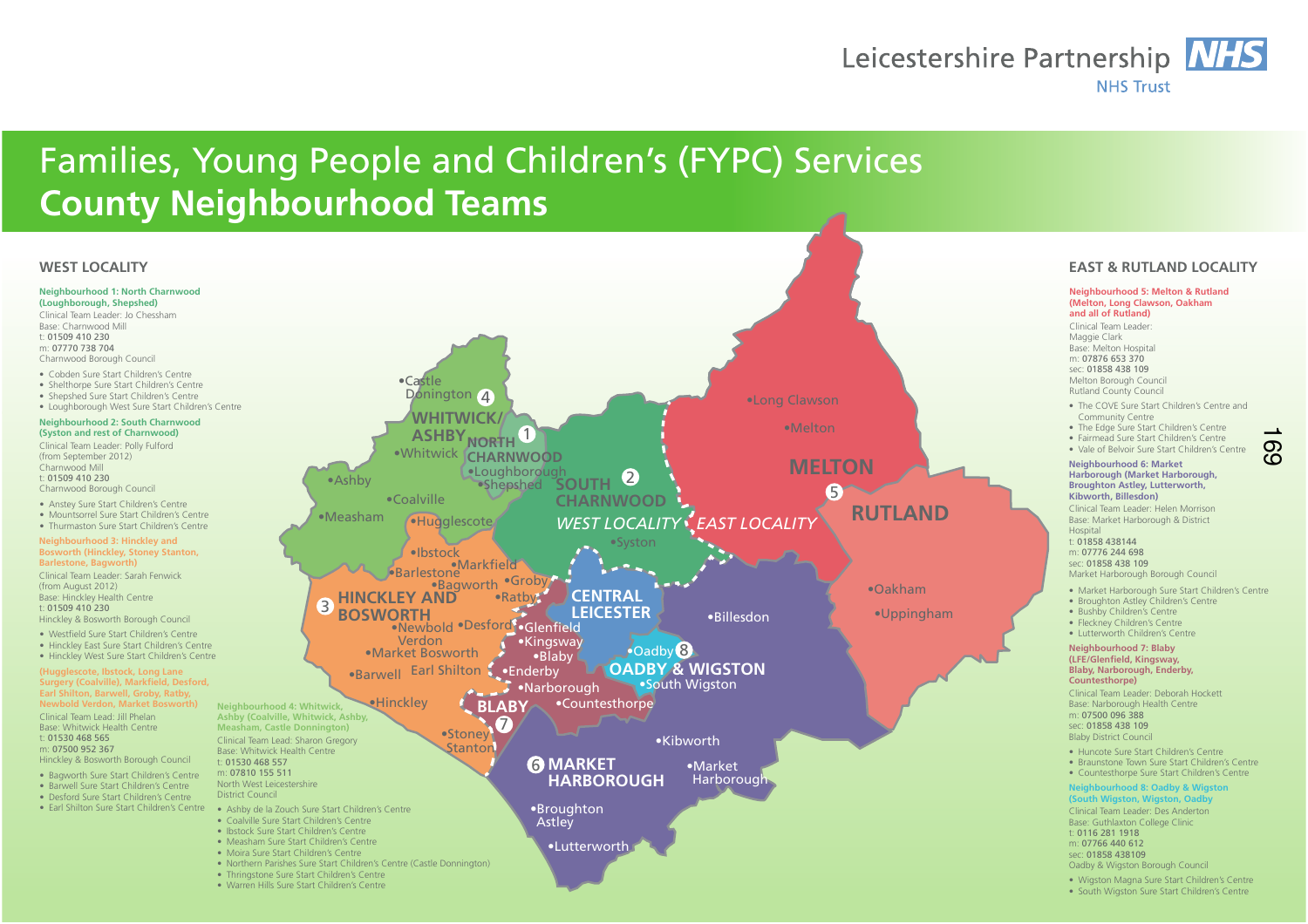## Leicestershire Partnership NHS **NHS Trust**

## Families, Young People and Children's (FYPC) Services**County Neighbourhood TeamsNeighbourhood 1: North Charnwood (Loughborough, Shepshed)** Clinical Team Leader: Jo ChesshamBase: Charnwood Mill t: 01509 410 230 m: 07770 738 704 Charnwood Borough Council**Neighbourhood 2: South Charnwood (Syston and rest of Charnwood)**Clinical Team Leader: Polly Fulford(from September 2012)Charnwood Mill t: 01509 410 230 Charnwood Borough Council**Neighbourhood 5: Melton & Rutland (Melton, Long Clawson, Oakham and all of Rutland)** Clinical Team Leader:Maggie Clark Base: Melton Hospitalm: 07876 653 370 sec: 01858 438 109 Melton Borough Council Rutland County Council**Neighbourhood 3: Hinckley and Bosworth (Hinckley, Stoney Stanton, Barlestone, Bagworth)** Clinical Team Leader: Sarah Fenwick (from August 2012) Base: Hinckley Health Centret: 01509 410 230 Hinckley & Bosworth Borough Council**(Hugglescote, Ibstock, Long Lane Surgery (Coalville), Markfield, Desford, Earl Shilton, Barwell, Groby, Ratby, Newbold Verdon, Market Bosworth)**Clinical Team Lead: Jill Phelan Base: Whitwick Health Centret: 01530 468 565 m: 07500 952 367 Hinckley & Bosworth Borough Council**Neighbourhood 6: Market Harborough (Market Harborough, Broughton Astley, Lutterworth, Kibworth, Billesdon)** Clinical Team Leader: Helen Morrison Base: Market Harborough & District **Hospital**  t: 01858 438144 m: 07776 244 698 sec: 01858 438 109 Market Harborough Borough Council**Neighbourhood 7: Blaby (LFE/Glenfield, Kingsway, Blaby, Narborough, Enderby, Countesthorpe)** Clinical Team Leader: Deborah HockettBase: Narborough Health Centrem: 07500 096 388 sec: 01858 438 109 Blaby District Council**Neighbourhood 4: Whitwick, Ashby (Coalville, Whitwick, Ashby, Measham, Castle Donnington)** Clinical Team Lead: Sharon GregoryBase: Whitwick Health Centret: 01530 468 557 m: 07810 155 511 North West LeicestershireDistrict Council **Neighbourhood 8: Oadby & Wigston (South Wigston, Wigston, Oadby** Clinical Team Leader: Des AndertonBase: Guthlaxton College Clinict: 0116 281 1918 m: 07766 440 612 sec: 01858 438109 Oadby & Wigston Borough Council**WEST LOCALITY EAST & RUTLAND LOCALITY** • Cobden Sure Start Children's Centre · Shelthorpe Sure Start Children's Centre · Shepshed Sure Start Children's Centre • Loughborough West Sure Start Children's Centre • Anstey Sure Start Children's Centre • Mountsorrel Sure Start Children's Centre • Thurmaston Sure Start Children's Centre • Bagworth Sure Start Children's Centre . Barwell Sure Start Children's Centre • Desford Sure Start Children's Centre • Earl Shilton Sure Start Children's Centre • Ashby de la Zouch Sure Start Children's Centre · Coalville Sure Start Children's Centre · Ibstock Sure Start Children's Centre • Measham Sure Start Children's Centre · Moira Sure Start Children's Centre • Northern Parishes Sure Start Children's Centre (Castle Donnington) • Thringstone Sure Start Children's Centre • Warren Hills Sure Start Children's Centre · Westfield Sure Start Children's Centre • Hinckley Fast Sure Start Children's Centre · Hinckley West Sure Start Children's Centre • The COVE Sure Start Children's Centre and Community Centre• The Edge Sure Start Children's Centre · Fairmead Sure Start Children's Centre · Vale of Belvoir Sure Start Children's Centre • Market Harborough Sure Start Children's Centre · Broughton Astley Children's Centre · Bushby Children's Centre · Fleckney Children's Centre · Lutterworth Children's Centre • Huncote Sure Start Children's Centre • Braunstone Town Sure Start Children's Centre • Countesthorpe Sure Start Children's Centre • Wigston Magna Sure Start Children's Centre • South Wigston Sure Start Children's Centre **CENTRALCENTRAL LEICESTER LEICESTER6 MARKET HARBOROUGHBLABYMELTONWHITWICK/**  $\mathsf{ASHBY}_{\mathsf{NORTH}}$  1 **Whitwick CHARNWOOD HINCKLEY AND BOSWORTH**•Newbold •Desford **SOUTH CHARNWOODWEST LOCALITY OADBY & WIGSTON** *WEST LOCALITY EAST LOCALITY*•Melton •Syston **eHinckley** •Stoney Stanton  $\bullet$ Barwell Earl Shilton  $\bullet$ Coalville  $\bullet$ Castle Donington<sub>4</sub> •Ashby  $•<sub>Mean</sub>$ •Long Clawson •Oakham •Uppingham  $•$ Market Harborough •Broughton Astley •Lutterworth  $\bullet$ Kibworth ·Rillesdon **S**-Glenfield  $\bullet$ Kingsway •Blaby •Narborough •Countesthorpe  $•$  Fnderby  $\bullet$ Oadby $\,$ 8 •South Wiaston 25 $\left( 7\right)$  $\bullet$ Bagworth Barlestone<br>• Barlestone ·Ibstock  $\bullet$ Groby •Ratby Verdon•Market Bosworth **RUTLAND**  $\bullet$ Loughborough •Shepshed ·Hugglescote <u>က</u>